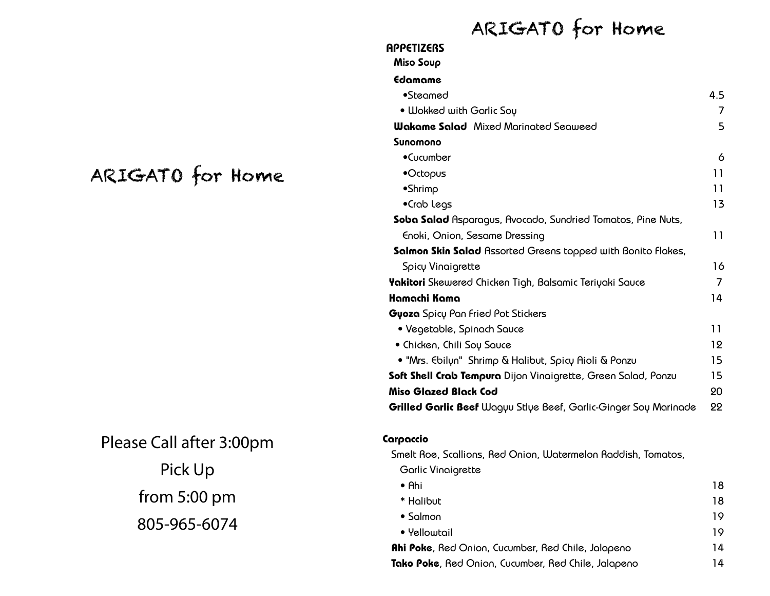## ARIGATO for Home

# ARIGATO for Home

Please Call after 3:00pm Pick Up from 5:00 pm 805-965-6074

| Edamame                                                          |     |
|------------------------------------------------------------------|-----|
| $•$ Steamed                                                      | 4.5 |
| · Wokked with Garlic Sou                                         | 7   |
| <b>Wakame Salad</b> Mixed Marinated Seaweed                      | 5   |
| Sunomono                                                         |     |
| •Cucumber                                                        | 6   |
| •Octopus                                                         | 11  |
| •Shrimp                                                          | 11  |
| •Crab Legs                                                       | 13  |
| Soba Salad Asparagus, Avocado, Sundried Tomatos, Pine Nuts,      |     |
| Enoki, Onion, Sesame Dressing                                    | 11  |
| Salmon Skin Salad Assorted Greens topped with Bonito Flakes,     |     |
| Spicy Vinaigrette                                                | 16  |
| <b>Yakitori</b> Skewered Chicken Tigh, Balsamic Teriyaki Sauce   | 7   |
| Hamachi Kama                                                     | 14  |
| Gyoza Spicy Pan Fried Pot Stickers                               |     |
| • Vegetable, Spinach Sauce                                       | 11  |
| • Chicken, Chili Soy Sauce                                       | 12  |
| • "Mrs. Ebilyn" Shrimp & Halibut, Spicy Aioli & Ponzu            | 15  |
| Soft Shell Crab Tempura Dijon Vinaigrette, Green Salad, Ponzu    | 15  |
| Miso Glazed Black Cod                                            | 20  |
| Grilled Garlic Beef Wagyu Stlye Beef, Garlic-Ginger Soy Marinade | 22  |

### Carpaccio

**APPETIZERS** Miso Soup

Smelt Roe, Scallions, Red Onion, Watermelon Raddish, Tomatos,

Garlic Vinaigrette

| $\bullet$ Ahi                                             | 18 |
|-----------------------------------------------------------|----|
| * Halibut                                                 | 18 |
| $\bullet$ Salmon                                          | 19 |
| • Yellowtail                                              | 19 |
| <b>Ahi Poke, Red Onion, Cucumber, Red Chile, Jalapeno</b> | 14 |
| Tako Poke, Red Onion, Cucumber, Red Chile, Jalapeno       | 14 |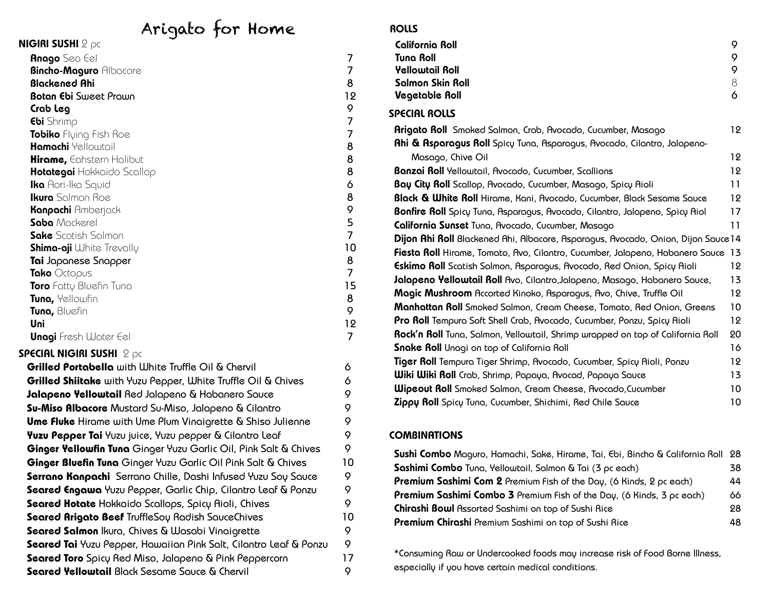### Arigato for Home

| .<br><b>NIGIRI SUSHI</b> $2 \rho c$ |                |
|-------------------------------------|----------------|
| <b>Anago</b> Sea Eel                | 7              |
| <b>Bincho-Maguro Albacore</b>       | 7              |
| <b>Blackened Ahi</b>                | 8              |
| <b>Botan Ebi</b> Sweet Prawn        | 12             |
| Crab Leg                            | 9              |
| <b>Ebi</b> Shrimp                   | 7              |
| Tobiko Flying Fish Roe              | 7              |
| <b>Hamachi</b> Yellowtail           | 8              |
| <b>Hirame,</b> Eahstern Halibut     | 8              |
| <b>Hotategai</b> Hokkaido Scallop   | 8              |
| <b>Ika</b> Aori-Ika Squid           | 6              |
| <b>Ikura</b> Salmon Roe             | 8              |
| <b>Kanpachi</b> Amberjack           | 9              |
| Saba Mackerel                       | 5              |
| <b>Sake</b> Scotish Salmon          | $\overline{7}$ |
| <b>Shima-aji</b> White Trevally     | 10             |
| Tai Japanese Snapper                | 8              |
| Tako Octopus                        | $\overline{7}$ |
| <b>Toro</b> Fatty Bluefin Tuna      | 15             |
| Tuna, Yellowfin                     | 8              |
| Tuna, Bluefin                       | 9              |
| Uni                                 | 12             |
| <b>Unagi</b> Fresh Water Eel        | 7              |
| Special nigiri sushi $2p$ c         |                |

| Grilled Portabella with White Truffle Oil & Chervil                | 6  |
|--------------------------------------------------------------------|----|
| Grilled Shiitake with Yuzu Pepper, White Truffle Oil & Chives      | 6  |
| Jalapeno Yellowtail Red Jalapeno & Habanero Sauce                  | 9  |
| <b>Su-Miso Albacore</b> Mustard Su-Miso, Jalapeno & Cilantro       | 9  |
| <b>Ume Fluke</b> Hirame with Ume Plum Vinaigrette & Shiso Julienne | 9  |
| Yuzu Pepper Tai Yuzu juice, Yuzu pepper & Cilantro Leaf            | 9  |
| Ginger Yellowfin Tuna Ginger Yuzu Garlic Oil, Pink Salt & Chives   | 9  |
| Ginger Bluefin Tuna Ginger Yuzu Garlic Oil Pink Salt & Chives      | 10 |
| Serrano Kanpachi Serrano Chille, Dashi Infused Yuzu Soy Sauce      | 9  |
| Seared Engawa Yuzu Pepper, Garlic Chip, Cilantro Leaf & Ponzu      | 9  |
| Seared Hotate Hokkaido Scallops, Spicy Aioli, Chives               | 9  |
| Seared Arigato Beef TruffleSoy Radish SauceChives                  | 10 |
| Seared Salmon Ikura, Chives & Wasabi Vinaigrette                   | 9  |
| Seared Tai Yuzu Pepper, Hawaiian Pink Salt, Cilantro Leaf & Ponzu  | 9  |
| Seared Toro Spicy Red Miso, Jalapeno & Pink Peppercorn             | 17 |
| Seared Yellowtail Black Sesame Sauce & Chervil                     | 9  |

#### **ROLLS**

| California Roll                                                          | 9  |
|--------------------------------------------------------------------------|----|
| Tuna Roll                                                                | Q  |
| <b>Yellowtail Roll</b>                                                   | 9  |
| Salmon Skin Roll                                                         | Χ  |
| Vegetable Roll                                                           | Ó  |
| SPECIAL ROLLS                                                            |    |
| <b>Arigato Roll</b> Smoked Salmon, Crab, Avocado, Cucumber, Masago       | 12 |
| Ahi & Asparagus Roll Spicy Tuna, Asparagus, Avocado, Cilantro, Jalapeno- |    |
|                                                                          |    |

| יווטן בטטאטווי, כטשטאט וויס דער פאר האט פאר אין דער פאר האין דער פאר האט וויס דער הייז וויס דער הייז ו |     |
|--------------------------------------------------------------------------------------------------------|-----|
| Masago, Chive Oil                                                                                      | 12  |
| <b>Banzai Roll</b> Yellowtail, Avocado, Cucumber, Scallions                                            | 12  |
| Bay City Roll Scallop, Avocado, Cucumber, Masago, Spicy Aioli                                          | 11  |
| <b>Black &amp; White Roll</b> Hirame, Kani, Avocado, Cucumber, Black Sesame Sauce                      | 12  |
| Bonfire Roll Spicy Tuna, Asparagus, Avocado, Cilantro, Jalapeno, Spicy Aiol                            | 17  |
| California Sunset Tuna, Avocado, Cucumber, Masago                                                      | 11  |
| Dijon Ahi Roll Blackened Ahi, Albacore, Asparagus, Avocado, Onion, Dijon Sauce 14                      |     |
| Fiesta Roll Hirame, Tomato, Avo, Cilantro, Cucumber, Jalapeno, Habanero Sauce 13                       |     |
| Eskimo Roll Scatish Salmon, Asparagus, Avocado, Red Onion, Spicy Aioli                                 | 12  |
| Jalapeno Yellowtail Roll Avo, Cilantro, Jalapeno, Masago, Habanero Sauce,                              | 13  |
| Magic Mushroom Accorted Kinoko, Asparagus, Avo, Chive, Truffle Oil                                     | 12  |
| Manhattan Roll Smoked Salmon, Cream Cheese, Tomato, Red Onion, Greens                                  | 10  |
| <b>Pro Roll</b> Tempura Soft Shell Crab, Avocado, Cucumber, Ponzu, Spicy Aioli                         | 12  |
| Rock'n Roll Tuna, Salmon, Yellowtail, Shrimp wrapped on top of California Roll                         | 20  |
| Snake Roll Unagi on top of California Roll                                                             | 16  |
| Tiger Roll Tempura Tiger Shrimp, Avocado, Cucumber, Spicy Aioli, Ponzu                                 | 12. |
| <b>Wiki Wiki Roll</b> Crab, Shrimp, Papaya, Avocad, Papaya Sauce                                       | 13  |
| <b>Wipcout Roll</b> Smoked Salmon, Cream Cheese, Avocado, Cucumber                                     | 10  |
| Zippų Roll Spicų Tuna, Cucumber, Shichimi, Red Chile Sauce                                             | 10  |
|                                                                                                        |     |

### **COMBINATIONS**

| Sushi Combo Maguro, Hamachi, Sake, Hirame, Tai, Ebi, Bincho & California Roll 28 |     |
|----------------------------------------------------------------------------------|-----|
| Sashimi Combo Tuna, Yellowtail, Salmon & Tai (3 pc each)                         | 38. |
| <b>Premium Sashimi Com 2</b> Premium Fish of the Day, (6 Kinds, 2 pc each)       | 44  |
| <b>Premium Sashimi Combo 3</b> Premium Fish of the Day, (6 Kinds, 3 pc each)     | 66. |
| Chirashi Bowl Assorted Sashimi on top of Sushi Rice                              | 28. |
| Premium Chirashi Premium Sashimi on top of Sushi Rice                            | 48. |

\*Consuming Raw or Undercooked foods may increase risk of Food Borne Illness, especially if you have certain medical conditions.